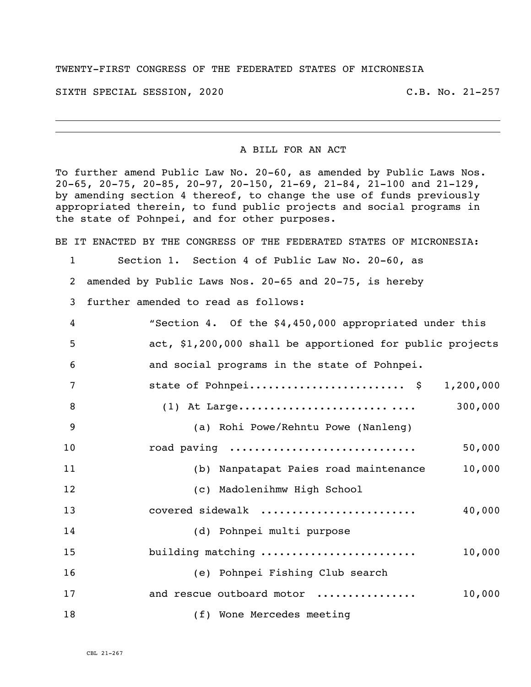## TWENTY-FIRST CONGRESS OF THE FEDERATED STATES OF MICRONESIA

SIXTH SPECIAL SESSION, 2020 C.B. No. 21-257

## A BILL FOR AN ACT

To further amend Public Law No. 20-60, as amended by Public Laws Nos. 20-65, 20-75, 20-85, 20-97, 20-150, 21-69, 21-84, 21-100 and 21-129, by amending section 4 thereof, to change the use of funds previously appropriated therein, to fund public projects and social programs in the state of Pohnpei, and for other purposes.

BE IT ENACTED BY THE CONGRESS OF THE FEDERATED STATES OF MICRONESIA:

Section 1. Section 4 of Public Law No. 20-60, as

amended by Public Laws Nos. 20-65 and 20-75, is hereby

further amended to read as follows:

| 4  | "Section 4. Of the \$4,450,000 appropriated under this    |
|----|-----------------------------------------------------------|
| 5  | act, \$1,200,000 shall be apportioned for public projects |
| 6  | and social programs in the state of Pohnpei.              |
| 7  | state of Pohnpei \$ 1,200,000                             |
| 8  |                                                           |
| 9  | (a) Rohi Powe/Rehntu Powe (Nanleng)                       |
| 10 | road paving<br>50,000                                     |
| 11 | 10,000<br>(b) Nanpatapat Paies road maintenance           |
| 12 | (c) Madolenihmw High School                               |
| 13 | covered sidewalk<br>40,000                                |
| 14 | (d) Pohnpei multi purpose                                 |
| 15 | building matching<br>10,000                               |
| 16 | (e) Pohnpei Fishing Club search                           |
| 17 | and rescue outboard motor<br>10,000                       |
| 18 | (f) Wone Mercedes meeting                                 |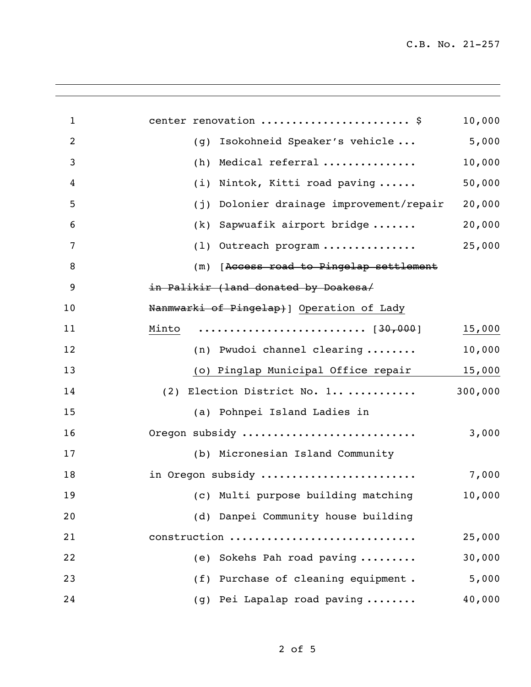| 1              | center renovation  \$                       | 10,000  |
|----------------|---------------------------------------------|---------|
| $\overline{2}$ | Isokohneid Speaker's vehicle<br>(g)         | 5,000   |
| 3              | Medical referral<br>(h)                     | 10,000  |
| 4              | (i)<br>Nintok, Kitti road paving            | 50,000  |
| 5              | Dolonier drainage improvement/repair<br>(j) | 20,000  |
| 6              | (k) Sapwuafik airport bridge                | 20,000  |
| 7              | (1) Outreach program                        | 25,000  |
| 8              | (m) [Access road to Pingelap settlement     |         |
| 9              | in Palikir (land donated by Doakesa/        |         |
| 10             | Nanmwarki of Pingelap) ] Operation of Lady  |         |
| 11             |                                             | 15,000  |
| 12             | (n) Pwudoi channel clearing                 | 10,000  |
| 13             | (o) Pinglap Municipal Office repair         | 15,000  |
| 14             | Election District No. 1<br>(2)              | 300,000 |
| 15             | (a) Pohnpei Island Ladies in                |         |
| 16             | Oregon subsidy                              | 3,000   |
| 17             | (b) Micronesian Island Community            |         |
| 18             | in Oregon subsidy                           | 7,000   |
| 19             | (c) Multi purpose building matching         | 10,000  |
| 20             | (d) Danpei Community house building         |         |
| 21             | construction                                | 25,000  |
| 22             | Sokehs Pah road paving<br>(e)               | 30,000  |
| 23             | (f) Purchase of cleaning equipment.         | 5,000   |
| 24             | (g) Pei Lapalap road paving                 | 40,000  |
|                |                                             |         |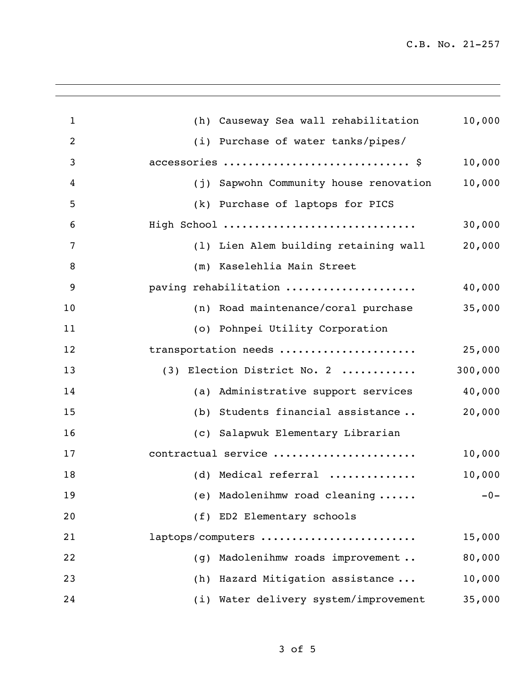C.B. No. 21-257

| $\mathbf{1}$   | (h) Causeway Sea wall rehabilitation   | 10,000  |
|----------------|----------------------------------------|---------|
| $\overline{2}$ | (i) Purchase of water tanks/pipes/     |         |
| 3              | accessories  \$                        | 10,000  |
| 4              | (j) Sapwohn Community house renovation | 10,000  |
| 5              | (k) Purchase of laptops for PICS       |         |
| 6              | High School                            | 30,000  |
| 7              | (1) Lien Alem building retaining wall  | 20,000  |
| 8              | (m) Kaselehlia Main Street             |         |
| 9              | paving rehabilitation                  | 40,000  |
| 10             | (n) Road maintenance/coral purchase    | 35,000  |
| 11             | (o) Pohnpei Utility Corporation        |         |
| 12             | transportation needs                   | 25,000  |
| 13             | (3) Election District No. 2            | 300,000 |
| 14             | (a) Administrative support services    | 40,000  |
| 15             | (b) Students financial assistance      | 20,000  |
| 16             | (c) Salapwuk Elementary Librarian      |         |
| 17             | contractual service                    | 10,000  |
| 18             | (d) Medical referral                   | 10,000  |
| 19             | Madolenihmw road cleaning<br>(e)       | $-0-$   |
| 20             | (f) ED2 Elementary schools             |         |
| 21             | laptops/computers                      | 15,000  |
| 22             | Madolenihmw roads improvement<br>(q)   | 80,000  |
| 23             | (h) Hazard Mitigation assistance       | 10,000  |
| 24             | (i) Water delivery system/improvement  | 35,000  |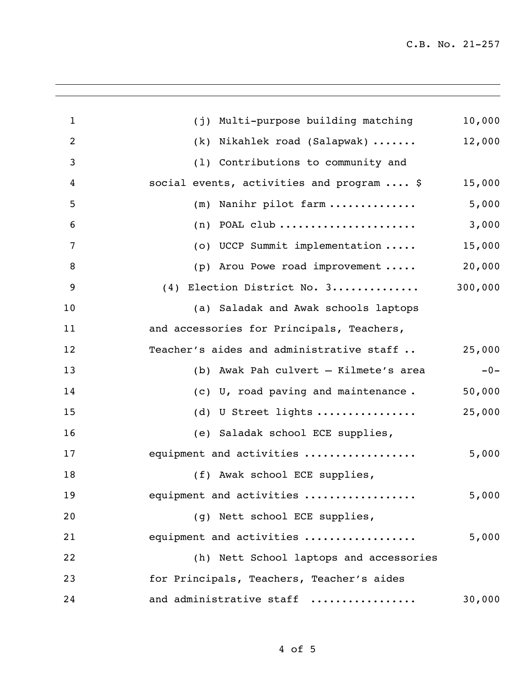C.B. No. 21-257

| $\mathbf{1}$   | (j) Multi-purpose building matching             | 10,000  |
|----------------|-------------------------------------------------|---------|
| $\overline{2}$ | (k) Nikahlek road (Salapwak)                    | 12,000  |
| 3              | (1) Contributions to community and              |         |
| 4              | social events, activities and program  \$       | 15,000  |
| 5              | (m) Nanihr pilot farm                           | 5,000   |
| 6              | $(n)$ POAL club                                 | 3,000   |
| 7              | (o) UCCP Summit implementation                  | 15,000  |
| 8              | (p) Arou Powe road improvement                  | 20,000  |
| 9              | (4) Election District No. 3                     | 300,000 |
| 10             | (a) Saladak and Awak schools laptops            |         |
| 11             | and accessories for Principals, Teachers,       |         |
| 12             | Teacher's aides and administrative staff        | 25,000  |
| 13             | (b) Awak Pah culvert - Kilmete's area           | $-0-$   |
| 14             | (c) U, road paving and maintenance.             | 50,000  |
| 15             | (d) U Street lights $\dots\dots\dots\dots\dots$ | 25,000  |
| 16             | (e) Saladak school ECE supplies,                |         |
| 17             | equipment and activities                        | 5,000   |
| 18             | (f) Awak school ECE supplies,                   |         |
| 19             | equipment and activities                        | 5,000   |
| 20             | (g) Nett school ECE supplies,                   |         |
| 21             | equipment and activities                        | 5,000   |
| 22             | (h) Nett School laptops and accessories         |         |
| 23             | for Principals, Teachers, Teacher's aides       |         |
| 24             | and administrative staff                        | 30,000  |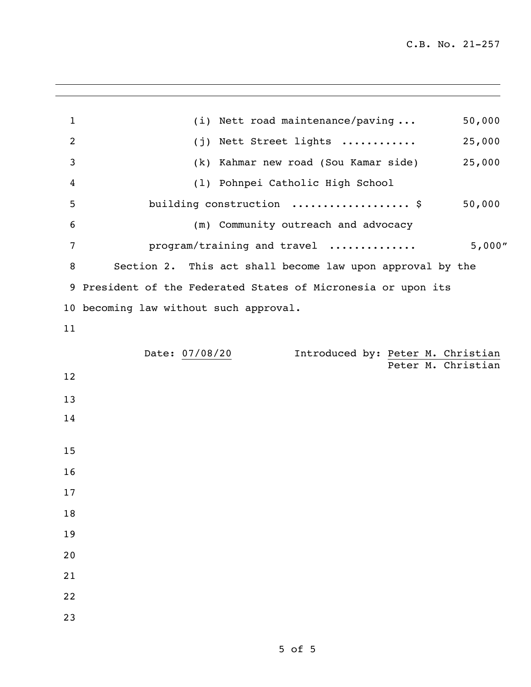| $\mathbf{1}$   | (i) Nett road maintenance/paving<br>50,000                    |
|----------------|---------------------------------------------------------------|
| $\overline{2}$ | (j) Nett Street lights<br>25,000                              |
| 3              | (k) Kahmar new road (Sou Kamar side)<br>25,000                |
| 4              | (1) Pohnpei Catholic High School                              |
| 5              | building construction  \$<br>50,000                           |
| 6              | (m) Community outreach and advocacy                           |
| 7              | program/training and travel<br>5,000"                         |
| 8              | Section 2. This act shall become law upon approval by the     |
|                | 9 President of the Federated States of Micronesia or upon its |
|                | 10 becoming law without such approval.                        |
| 11             |                                                               |
|                | Date: 07/08/20<br>Introduced by: Peter M. Christian           |
| 12             | Peter M. Christian                                            |
| 13             |                                                               |
| 14             |                                                               |
|                |                                                               |
| 15             |                                                               |
| 16             |                                                               |
| 17             |                                                               |
| 18             |                                                               |
| 19             |                                                               |
| 20             |                                                               |
| 21             |                                                               |
| 22             |                                                               |
| 23             |                                                               |